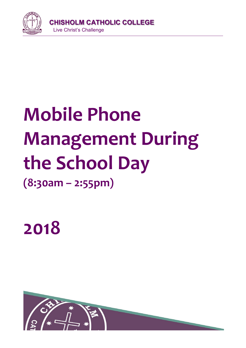

# **Mobile Phone Management During the School Day (8:30am – 2:55pm)**

**2018**

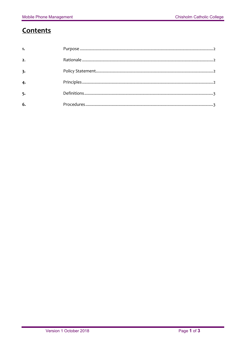# Contents

| 1.             |  |
|----------------|--|
| $\overline{2}$ |  |
| 3.             |  |
|                |  |
| 5.             |  |
| 6.             |  |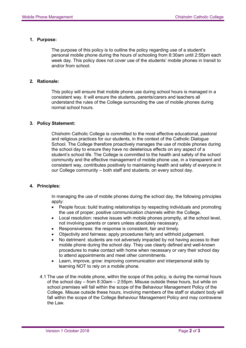#### **1. Purpose:**

The purpose of this policy is to outline the policy regarding use of a student's personal mobile phone during the hours of schooling from 8:30am until 2:55pm each week day. This policy does not cover use of the students' mobile phones in transit to and/or from school.

#### **2. Rationale:**

This policy will ensure that mobile phone use during school hours is managed in a consistent way. It will ensure the students, parents/carers and teachers all understand the rules of the College surrounding the use of mobile phones during normal school hours.

#### **3. Policy Statement:**

Chisholm Catholic College is committed to the most effective educational, pastoral and religious practices for our students, in the context of the Catholic Dialogue School. The College therefore proactively manages the use of mobile phones during the school day to ensure they have no deleterious effects on any aspect of a student's school life. The College is committed to the health and safety of the school community and the effective management of mobile phone use, in a transparent and consistent way, contributes positively to maintaining health and safety of everyone in our College community – both staff and students, on every school day.

## **4. Principles:**

In managing the use of mobile phones during the school day, the following principles apply:

- People focus: build trusting relationships by respecting individuals and promoting the use of proper, positive communication channels within the College.
- Local resolution: resolve issues with mobile phones promptly, at the school level, not involving parents or carers unless absolutely necessary.
- Responsiveness: the response is consistent, fair and timely.
- Objectivity and fairness: apply procedures fairly and withhold judgement.
- No detriment: students are not adversely impacted by not having access to their mobile phone during the school day. They use clearly defined and well-known procedures to make contact with home when necessary or vary their school day to attend appointments and meet other commitments.
- Learn, improve, grow: improving communication and interpersonal skills by learning NOT to rely on a mobile phone.
- 4.1 The use of the mobile phone, within the scope of this policy, is during the normal hours of the school day – from 8:30am – 2:55pm. Misuse outside these hours, but while on school premises will fall within the scope of the Behaviour Management Policy of the College. Misuse outside these hours, involving members of the staff or student body will fall within the scope of the College Behaviour Management Policy and may contravene the Law.